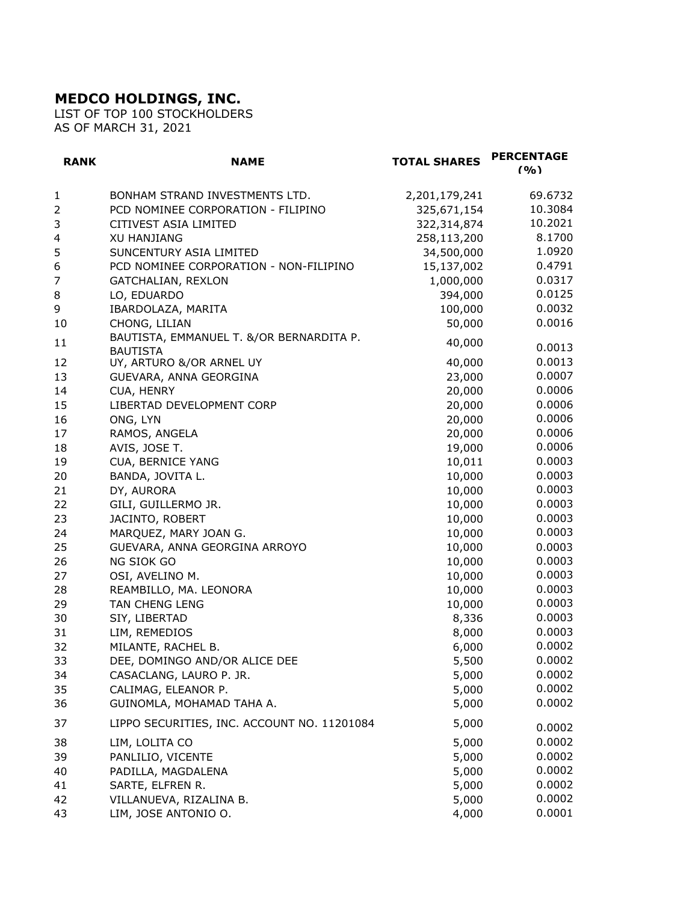## **MEDCO HOLDINGS, INC.**

LIST OF TOP 100 STOCKHOLDERS AS OF MARCH 31, 2021

| <b>RANK</b>  | <b>NAME</b>                                                 | <b>TOTAL SHARES</b> | <b>PERCENTAGE</b><br>(9/0) |
|--------------|-------------------------------------------------------------|---------------------|----------------------------|
| $\mathbf{1}$ | BONHAM STRAND INVESTMENTS LTD.                              | 2,201,179,241       | 69.6732                    |
| 2            | PCD NOMINEE CORPORATION - FILIPINO                          | 325,671,154         | 10.3084                    |
| 3            | CITIVEST ASIA LIMITED                                       | 322,314,874         | 10.2021                    |
| 4            | <b>XU HANJIANG</b>                                          | 258,113,200         | 8.1700                     |
| 5            | SUNCENTURY ASIA LIMITED                                     | 34,500,000          | 1.0920                     |
| 6            | PCD NOMINEE CORPORATION - NON-FILIPINO                      | 15,137,002          | 0.4791                     |
| 7            | <b>GATCHALIAN, REXLON</b>                                   | 1,000,000           | 0.0317                     |
| 8            | LO, EDUARDO                                                 | 394,000             | 0.0125                     |
| 9            | IBARDOLAZA, MARITA                                          | 100,000             | 0.0032                     |
| 10           | CHONG, LILIAN                                               | 50,000              | 0.0016                     |
| 11           | BAUTISTA, EMMANUEL T. &/OR BERNARDITA P.<br><b>BAUTISTA</b> | 40,000              | 0.0013                     |
| 12           | UY, ARTURO &/OR ARNEL UY                                    | 40,000              | 0.0013                     |
| 13           | GUEVARA, ANNA GEORGINA                                      | 23,000              | 0.0007                     |
| 14           | CUA, HENRY                                                  | 20,000              | 0.0006                     |
| 15           | LIBERTAD DEVELOPMENT CORP                                   | 20,000              | 0.0006                     |
| 16           | ONG, LYN                                                    | 20,000              | 0.0006                     |
| 17           | RAMOS, ANGELA                                               | 20,000              | 0.0006                     |
| 18           | AVIS, JOSE T.                                               | 19,000              | 0.0006                     |
| 19           | CUA, BERNICE YANG                                           | 10,011              | 0.0003                     |
| 20           | BANDA, JOVITA L.                                            | 10,000              | 0.0003                     |
| 21           | DY, AURORA                                                  | 10,000              | 0.0003                     |
| 22           | GILI, GUILLERMO JR.                                         | 10,000              | 0.0003                     |
| 23           | JACINTO, ROBERT                                             | 10,000              | 0.0003                     |
| 24           | MARQUEZ, MARY JOAN G.                                       | 10,000              | 0.0003                     |
| 25           | GUEVARA, ANNA GEORGINA ARROYO                               | 10,000              | 0.0003                     |
| 26           | NG SIOK GO                                                  | 10,000              | 0.0003                     |
| 27           | OSI, AVELINO M.                                             | 10,000              | 0.0003                     |
| 28           | REAMBILLO, MA. LEONORA                                      | 10,000              | 0.0003                     |
| 29           | TAN CHENG LENG                                              | 10,000              | 0.0003                     |
| 30           | SIY, LIBERTAD                                               | 8,336               | 0.0003                     |
| 31           | LIM, REMEDIOS                                               | 8,000               | 0.0003                     |
| 32           | MILANTE, RACHEL B.                                          | 6,000               | 0.0002                     |
| 33           | DEE, DOMINGO AND/OR ALICE DEE                               | 5,500               | 0.0002                     |
| 34           | CASACLANG, LAURO P. JR.                                     | 5,000               | 0.0002                     |
| 35           | CALIMAG, ELEANOR P.                                         | 5,000               | 0.0002                     |
| 36           | GUINOMLA, MOHAMAD TAHA A.                                   | 5,000               | 0.0002                     |
| 37           | LIPPO SECURITIES, INC. ACCOUNT NO. 11201084                 | 5,000               | 0.0002                     |
| 38           | LIM, LOLITA CO                                              | 5,000               | 0.0002                     |
| 39           | PANLILIO, VICENTE                                           | 5,000               | 0.0002                     |
| 40           | PADILLA, MAGDALENA                                          | 5,000               | 0.0002                     |
| 41           | SARTE, ELFREN R.                                            | 5,000               | 0.0002                     |
| 42           | VILLANUEVA, RIZALINA B.                                     | 5,000               | 0.0002                     |
| 43           | LIM, JOSE ANTONIO O.                                        | 4,000               | 0.0001                     |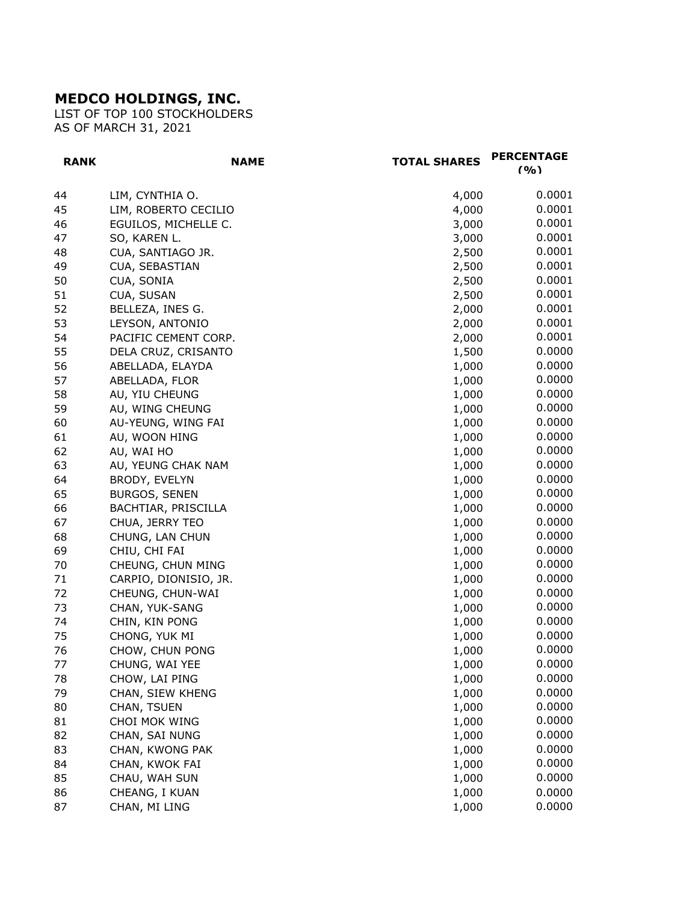## **MEDCO HOLDINGS, INC.**

LIST OF TOP 100 STOCKHOLDERS AS OF MARCH 31, 2021

| <b>RANK</b> | <b>NAME</b>           | <b>TOTAL SHARES</b> | <b>PERCENTAGE</b><br>(9/0) |
|-------------|-----------------------|---------------------|----------------------------|
| 44          | LIM, CYNTHIA O.       | 4,000               | 0.0001                     |
| 45          | LIM, ROBERTO CECILIO  | 4,000               | 0.0001                     |
| 46          | EGUILOS, MICHELLE C.  | 3,000               | 0.0001                     |
| 47          | SO, KAREN L.          | 3,000               | 0.0001                     |
| 48          | CUA, SANTIAGO JR.     | 2,500               | 0.0001                     |
| 49          | CUA, SEBASTIAN        | 2,500               | 0.0001                     |
| 50          | CUA, SONIA            | 2,500               | 0.0001                     |
| 51          | CUA, SUSAN            | 2,500               | 0.0001                     |
| 52          | BELLEZA, INES G.      | 2,000               | 0.0001                     |
| 53          | LEYSON, ANTONIO       | 2,000               | 0.0001                     |
| 54          | PACIFIC CEMENT CORP.  | 2,000               | 0.0001                     |
| 55          | DELA CRUZ, CRISANTO   | 1,500               | 0.0000                     |
| 56          | ABELLADA, ELAYDA      | 1,000               | 0.0000                     |
| 57          | ABELLADA, FLOR        | 1,000               | 0.0000                     |
| 58          | AU, YIU CHEUNG        | 1,000               | 0.0000                     |
| 59          | AU, WING CHEUNG       | 1,000               | 0.0000                     |
| 60          | AU-YEUNG, WING FAI    | 1,000               | 0.0000                     |
| 61          | AU, WOON HING         | 1,000               | 0.0000                     |
| 62          | AU, WAI HO            | 1,000               | 0.0000                     |
| 63          | AU, YEUNG CHAK NAM    | 1,000               | 0.0000                     |
| 64          | BRODY, EVELYN         | 1,000               | 0.0000                     |
| 65          | <b>BURGOS, SENEN</b>  | 1,000               | 0.0000                     |
| 66          | BACHTIAR, PRISCILLA   | 1,000               | 0.0000                     |
| 67          | CHUA, JERRY TEO       | 1,000               | 0.0000                     |
| 68          | CHUNG, LAN CHUN       | 1,000               | 0.0000                     |
| 69          | CHIU, CHI FAI         | 1,000               | 0.0000                     |
| 70          | CHEUNG, CHUN MING     | 1,000               | 0.0000                     |
| 71          | CARPIO, DIONISIO, JR. | 1,000               | 0.0000                     |
| 72          | CHEUNG, CHUN-WAI      | 1,000               | 0.0000                     |
| 73          | CHAN, YUK-SANG        | 1,000               | 0.0000                     |
| 74          | CHIN, KIN PONG        | 1,000               | 0.0000                     |
| 75          | CHONG, YUK MI         | 1,000               | 0.0000                     |
| 76          | CHOW, CHUN PONG       | 1,000               | 0.0000                     |
| 77          | CHUNG, WAI YEE        | 1,000               | 0.0000                     |
| 78          | CHOW, LAI PING        | 1,000               | 0.0000                     |
| 79          | CHAN, SIEW KHENG      | 1,000               | 0.0000                     |
| 80          | CHAN, TSUEN           | 1,000               | 0.0000                     |
| 81          | CHOI MOK WING         | 1,000               | 0.0000                     |
| 82          | CHAN, SAI NUNG        | 1,000               | 0.0000                     |
| 83          | CHAN, KWONG PAK       | 1,000               | 0.0000                     |
| 84          | CHAN, KWOK FAI        | 1,000               | 0.0000                     |
| 85          | CHAU, WAH SUN         | 1,000               | 0.0000                     |
| 86          | CHEANG, I KUAN        | 1,000               | 0.0000                     |
| 87          | CHAN, MI LING         | 1,000               | 0.0000                     |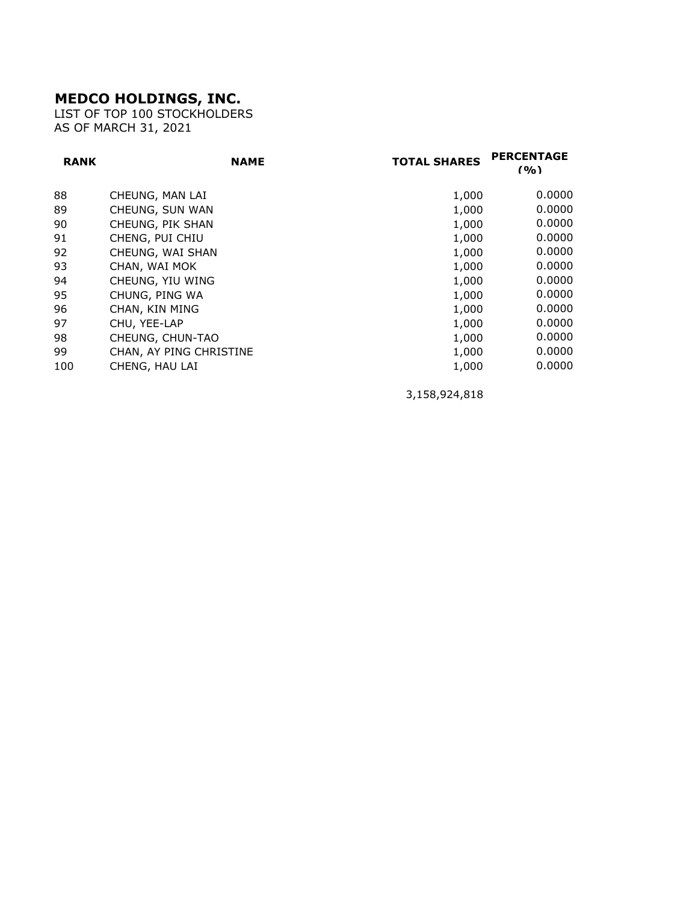## **MEDCO HOLDINGS, INC.**

LIST OF TOP 100 STOCKHOLDERS AS OF MARCH 31, 2021

| <b>RANK</b> | <b>NAME</b>             | <b>TOTAL SHARES</b> | <b>PERCENTAGE</b><br>(9/0) |
|-------------|-------------------------|---------------------|----------------------------|
| 88          | CHEUNG, MAN LAI         | 1,000               | 0.0000                     |
| 89          | CHEUNG, SUN WAN         | 1,000               | 0.0000                     |
| 90          | CHEUNG, PIK SHAN        | 1,000               | 0.0000                     |
| 91          | CHENG, PUI CHIU         | 1,000               | 0.0000                     |
| 92          | CHEUNG, WAI SHAN        | 1,000               | 0.0000                     |
| 93          | CHAN, WAI MOK           | 1,000               | 0.0000                     |
| 94          | CHEUNG, YIU WING        | 1,000               | 0.0000                     |
| 95          | CHUNG, PING WA          | 1,000               | 0.0000                     |
| 96          | CHAN, KIN MING          | 1,000               | 0.0000                     |
| 97          | CHU, YEE-LAP            | 1,000               | 0.0000                     |
| 98          | CHEUNG, CHUN-TAO        | 1,000               | 0.0000                     |
| 99          | CHAN, AY PING CHRISTINE | 1,000               | 0.0000                     |
| 100         | CHENG, HAU LAI          | 1,000               | 0.0000                     |

3,158,924,818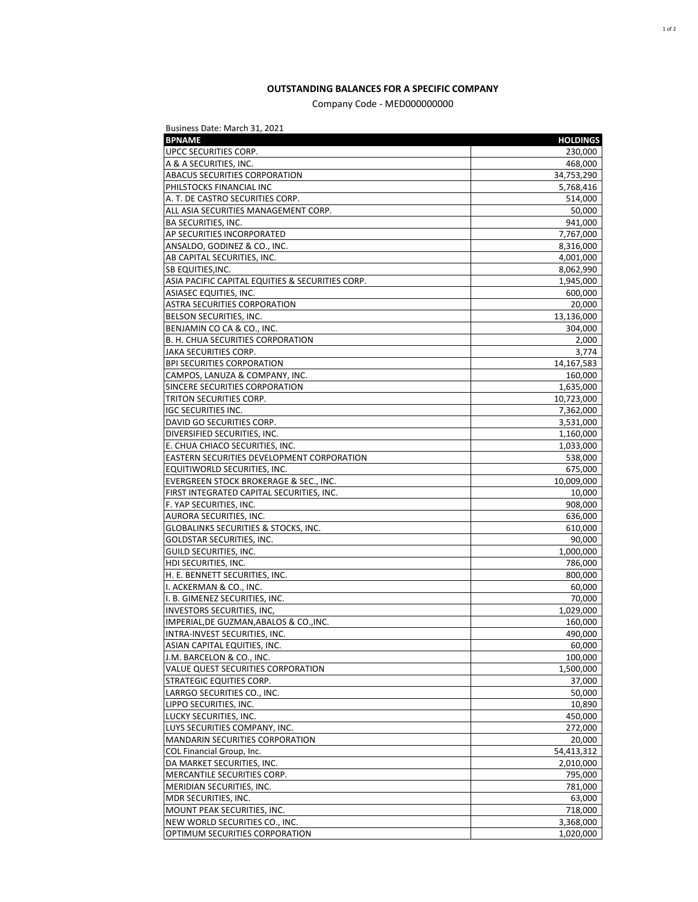## **OUTSTANDING BALANCES FOR A SPECIFIC COMPANY**

Company Code - MED000000000

| Business Date: March 31, 2021                    |                 |
|--------------------------------------------------|-----------------|
| <b>BPNAME</b>                                    | <b>HOLDINGS</b> |
| UPCC SECURITIES CORP.                            | 230,000         |
| A & A SECURITIES, INC.                           | 468,000         |
| ABACUS SECURITIES CORPORATION                    | 34,753,290      |
| PHILSTOCKS FINANCIAL INC                         | 5,768,416       |
| A. T. DE CASTRO SECURITIES CORP.                 | 514,000         |
| ALL ASIA SECURITIES MANAGEMENT CORP.             | 50,000          |
| <b>BA SECURITIES, INC.</b>                       | 941,000         |
| AP SECURITIES INCORPORATED                       | 7,767,000       |
| ANSALDO, GODINEZ & CO., INC.                     | 8,316,000       |
| AB CAPITAL SECURITIES, INC.                      | 4,001,000       |
| SB EQUITIES, INC.                                | 8,062,990       |
| ASIA PACIFIC CAPITAL EQUITIES & SECURITIES CORP. | 1,945,000       |
| ASIASEC EQUITIES, INC.                           | 600,000         |
| ASTRA SECURITIES CORPORATION                     | 20,000          |
| BELSON SECURITIES, INC.                          | 13,136,000      |
| BENJAMIN CO CA & CO., INC.                       | 304,000         |
| B. H. CHUA SECURITIES CORPORATION                | 2,000           |
| JAKA SECURITIES CORP.                            | 3,774           |
| <b>BPI SECURITIES CORPORATION</b>                | 14,167,583      |
| CAMPOS, LANUZA & COMPANY, INC.                   | 160,000         |
| SINCERE SECURITIES CORPORATION                   | 1,635,000       |
| TRITON SECURITIES CORP.                          | 10,723,000      |
| <b>IGC SECURITIES INC.</b>                       | 7,362,000       |
| DAVID GO SECURITIES CORP.                        | 3,531,000       |
| DIVERSIFIED SECURITIES, INC.                     | 1,160,000       |
| E. CHUA CHIACO SECURITIES, INC.                  | 1,033,000       |
| EASTERN SECURITIES DEVELOPMENT CORPORATION       | 538,000         |
| EQUITIWORLD SECURITIES, INC.                     | 675,000         |
| EVERGREEN STOCK BROKERAGE & SEC., INC.           | 10,009,000      |
| FIRST INTEGRATED CAPITAL SECURITIES, INC.        | 10,000          |
| F. YAP SECURITIES, INC.                          | 908,000         |
| AURORA SECURITIES, INC.                          | 636,000         |
| <b>GLOBALINKS SECURITIES &amp; STOCKS, INC.</b>  | 610,000         |
| GOLDSTAR SECURITIES, INC.                        | 90,000          |
| GUILD SECURITIES, INC.                           | 1,000,000       |
| HDI SECURITIES, INC.                             | 786,000         |
| H. E. BENNETT SECURITIES, INC.                   | 800,000         |
| I. ACKERMAN & CO., INC.                          | 60,000          |
| I. B. GIMENEZ SECURITIES, INC.                   | 70,000          |
| <b>INVESTORS SECURITIES, INC,</b>                | 1,029,000       |
| IMPERIAL, DE GUZMAN, ABALOS & CO., INC.          | 160,000         |
| INTRA-INVEST SECURITIES, INC.                    | 490,000         |
| ASIAN CAPITAL EQUITIES, INC.                     | 60,000          |
| J.M. BARCELON & CO., INC.                        | 100,000         |
| VALUE QUEST SECURITIES CORPORATION               | 1,500,000       |
| STRATEGIC EQUITIES CORP.                         | 37,000          |
| LARRGO SECURITIES CO., INC.                      | 50,000          |
| LIPPO SECURITIES, INC.                           | 10,890          |
| LUCKY SECURITIES, INC.                           | 450,000         |
| LUYS SECURITIES COMPANY, INC.                    | 272,000         |
| MANDARIN SECURITIES CORPORATION                  | 20,000          |
| COL Financial Group, Inc.                        | 54,413,312      |
| DA MARKET SECURITIES, INC.                       | 2,010,000       |
| MERCANTILE SECURITIES CORP.                      | 795,000         |
| MERIDIAN SECURITIES, INC.                        | 781,000         |
| MDR SECURITIES, INC.                             | 63,000          |
| MOUNT PEAK SECURITIES, INC.                      | 718,000         |
| NEW WORLD SECURITIES CO., INC.                   | 3,368,000       |
| OPTIMUM SECURITIES CORPORATION                   | 1,020,000       |